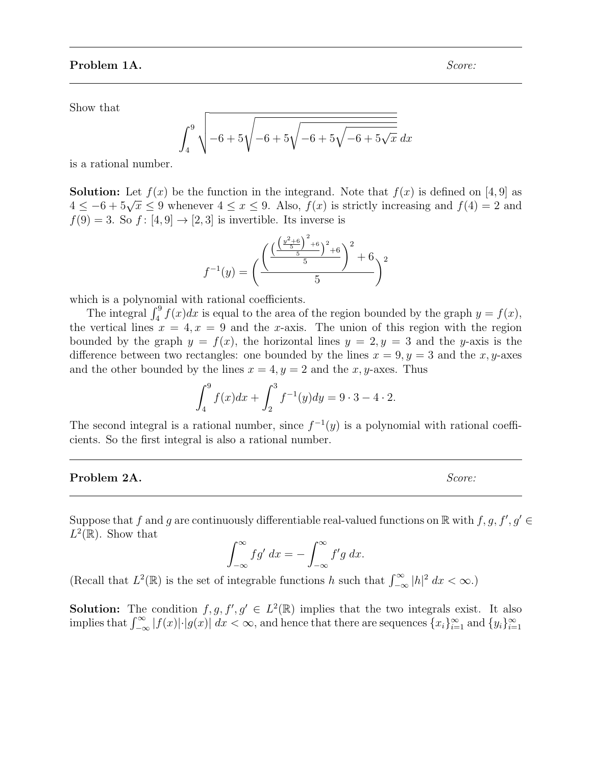Show that

$$
\int_{4}^{9} \sqrt{-6 + 5\sqrt{-6 + 5\sqrt{-6 + 5\sqrt{-6 + 5\sqrt{x}}}} dx
$$

is a rational number.

**Solution:** Let  $f(x)$  be the function in the integrand. Note that  $f(x)$  is defined on [4, 9] as **SOLUTE:** Let  $f(x)$  be the function in the integrand. Note that  $f(x)$  is defined on [4, 9] as  $4 \le -6 + 5\sqrt{x} \le 9$  whenever  $4 \le x \le 9$ . Also,  $f(x)$  is strictly increasing and  $f(4) = 2$  and  $f(9) = 3$ . So  $f: [4, 9] \rightarrow [2, 3]$  is invertible. Its inverse is

$$
f^{-1}(y) = \left(\frac{\left(\frac{\left(\frac{y^2+6}{5}\right)^2+6}{5}\right)^2+6}{5}\right)^2 + 6y^2
$$

which is a polynomial with rational coefficients.

The integral  $\int_4^9 f(x)dx$  is equal to the area of the region bounded by the graph  $y = f(x)$ , the vertical lines  $x = 4, x = 9$  and the x-axis. The union of this region with the region bounded by the graph  $y = f(x)$ , the horizontal lines  $y = 2, y = 3$  and the y-axis is the difference between two rectangles: one bounded by the lines  $x = 9, y = 3$  and the x, y-axes and the other bounded by the lines  $x = 4, y = 2$  and the x, y-axes. Thus

$$
\int_{4}^{9} f(x)dx + \int_{2}^{3} f^{-1}(y)dy = 9 \cdot 3 - 4 \cdot 2.
$$

The second integral is a rational number, since  $f^{-1}(y)$  is a polynomial with rational coefficients. So the first integral is also a rational number.

# Problem 2A. Score:

Suppose that f and g are continuously differentiable real-valued functions on  $\mathbb R$  with  $f, g, f', g' \in$  $L^2(\mathbb{R})$ . Show that

$$
\int_{-\infty}^{\infty} f g' dx = - \int_{-\infty}^{\infty} f' g dx.
$$

(Recall that  $L^2(\mathbb{R})$  is the set of integrable functions h such that  $\int_{-\infty}^{\infty} |h|^2 dx < \infty$ .)

**Solution:** The condition  $f, g, f', g' \in L^2(\mathbb{R})$  implies that the two integrals exist. It also implies that  $\int_{-\infty}^{\infty} |f(x)| \cdot |g(x)| dx < \infty$ , and hence that there are sequences  $\{x_i\}_{i=1}^{\infty}$  and  $\{y_i\}_{i=1}^{\infty}$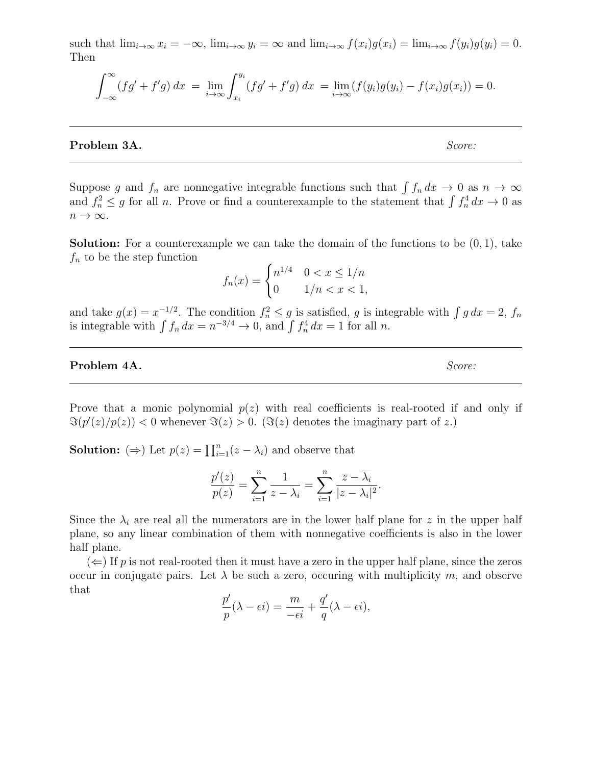such that  $\lim_{i\to\infty} x_i = -\infty$ ,  $\lim_{i\to\infty} y_i = \infty$  and  $\lim_{i\to\infty} f(x_i)g(x_i) = \lim_{i\to\infty} f(y_i)g(y_i) = 0$ . Then

$$
\int_{-\infty}^{\infty} (fg' + f'g) \, dx = \lim_{i \to \infty} \int_{x_i}^{y_i} (fg' + f'g) \, dx = \lim_{i \to \infty} (f(y_i)g(y_i) - f(x_i)g(x_i)) = 0.
$$

**Problem 3A.** Score:

Suppose g and  $f_n$  are nonnegative integrable functions such that  $\int f_n dx \to 0$  as  $n \to \infty$ and  $f_n^2 \leq g$  for all n. Prove or find a counterexample to the statement that  $\int f_n^4 dx \to 0$  as  $n \to \infty$ .

**Solution:** For a counterexample we can take the domain of the functions to be  $(0, 1)$ , take  $f_n$  to be the step function

$$
f_n(x) = \begin{cases} n^{1/4} & 0 < x \le 1/n \\ 0 & 1/n < x < 1, \end{cases}
$$

and take  $g(x) = x^{-1/2}$ . The condition  $f_n^2 \le g$  is satisfied, g is integrable with  $\int g dx = 2$ ,  $f_n$ is integrable with  $\int f_n dx = n^{-3/4} \to 0$ , and  $\int f_n^4 dx = 1$  for all n.

## Problem 4A. Score:

Prove that a monic polynomial  $p(z)$  with real coefficients is real-rooted if and only if  $\Im(p'(z)/p(z)) < 0$  whenever  $\Im(z) > 0$ . ( $\Im(z)$  denotes the imaginary part of z.)

**Solution:** ( $\Rightarrow$ ) Let  $p(z) = \prod_{i=1}^{n} (z - \lambda_i)$  and observe that

$$
\frac{p'(z)}{p(z)} = \sum_{i=1}^{n} \frac{1}{z - \lambda_i} = \sum_{i=1}^{n} \frac{\overline{z} - \overline{\lambda_i}}{|z - \lambda_i|^2}.
$$

Since the  $\lambda_i$  are real all the numerators are in the lower half plane for z in the upper half plane, so any linear combination of them with nonnegative coefficients is also in the lower half plane.

 $(\Leftarrow)$  If p is not real-rooted then it must have a zero in the upper half plane, since the zeros occur in conjugate pairs. Let  $\lambda$  be such a zero, occuring with multiplicity m, and observe that

$$
\frac{p'}{p}(\lambda - \epsilon i) = \frac{m}{-\epsilon i} + \frac{q'}{q}(\lambda - \epsilon i),
$$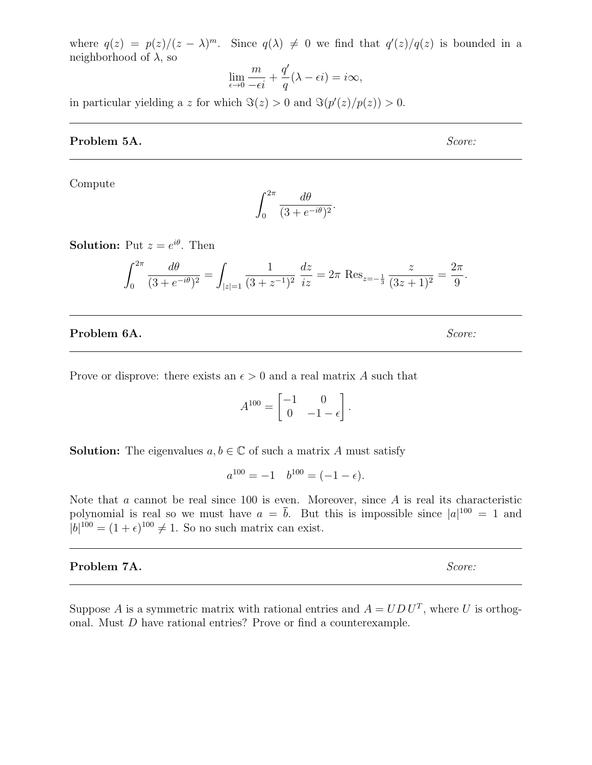where  $q(z) = p(z)/(z - \lambda)^m$ . Since  $q(\lambda) \neq 0$  we find that  $q'(z)/q(z)$  is bounded in a neighborhood of  $\lambda$ , so

$$
\lim_{\epsilon \to 0} \frac{m}{-\epsilon i} + \frac{q'}{q}(\lambda - \epsilon i) = i\infty,
$$

in particular yielding a z for which  $\Im(z) > 0$  and  $\Im(p'(z)/p(z)) > 0$ .

### **Problem 5A.** Score:

Compute

$$
\int_0^{2\pi} \frac{d\theta}{(3 + e^{-i\theta})^2}.
$$

**Solution:** Put  $z = e^{i\theta}$ . Then

$$
\int_0^{2\pi} \frac{d\theta}{(3 + e^{-i\theta})^2} = \int_{|z|=1} \frac{1}{(3 + z^{-1})^2} \frac{dz}{iz} = 2\pi \operatorname{Res}_{z=-\frac{1}{3}} \frac{z}{(3z+1)^2} = \frac{2\pi}{9}.
$$

## **Problem 6A.** Score:

Prove or disprove: there exists an  $\epsilon > 0$  and a real matrix A such that

$$
A^{100} = \begin{bmatrix} -1 & 0 \\ 0 & -1 - \epsilon \end{bmatrix}.
$$

**Solution:** The eigenvalues  $a, b \in \mathbb{C}$  of such a matrix A must satisfy

 $a^{100} = -1$   $b^{100} = (-1 - \epsilon).$ 

Note that  $a$  cannot be real since 100 is even. Moreover, since  $A$  is real its characteristic polynomial is real so we must have  $a = \overline{b}$ . But this is impossible since  $|a|^{100} = 1$  and  $|b|^{100} = (1 + \epsilon)^{100} \neq 1$ . So no such matrix can exist.

Problem 7A. Score:

Suppose A is a symmetric matrix with rational entries and  $A = U D U^T$ , where U is orthogonal. Must D have rational entries? Prove or find a counterexample.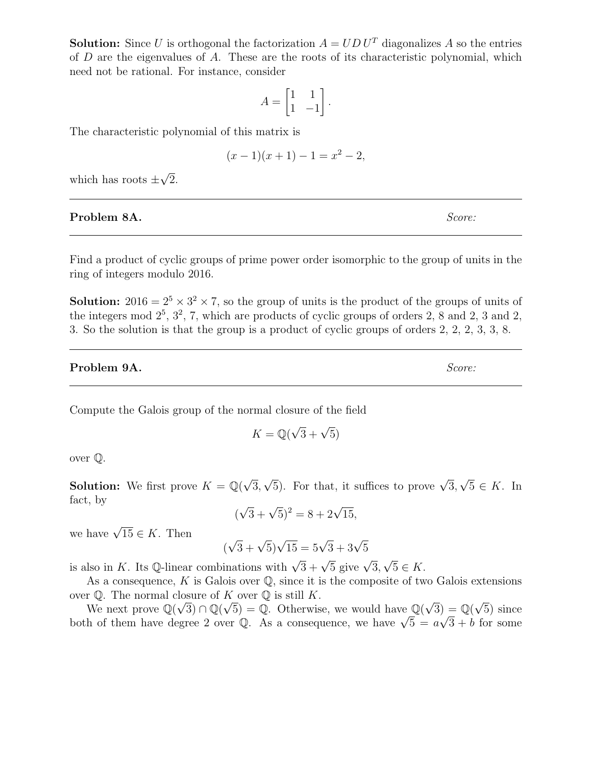**Solution:** Since U is orthogonal the factorization  $A = U D U^T$  diagonalizes A so the entries of  $D$  are the eigenvalues of  $A$ . These are the roots of its characteristic polynomial, which need not be rational. For instance, consider

$$
A = \begin{bmatrix} 1 & 1 \\ 1 & -1 \end{bmatrix}.
$$

The characteristic polynomial of this matrix is

$$
(x-1)(x+1) - 1 = x^2 - 2,
$$

which has roots  $\pm$ √ 2.

# Problem 8A. Score:

Find a product of cyclic groups of prime power order isomorphic to the group of units in the ring of integers modulo 2016.

**Solution:**  $2016 = 2^5 \times 3^2 \times 7$ , so the group of units is the product of the groups of units of the integers mod  $2^5$ ,  $3^2$ , 7, which are products of cyclic groups of orders 2, 8 and 2, 3 and 2, 3. So the solution is that the group is a product of cyclic groups of orders 2, 2, 2, 3, 3, 8.

## **Problem 9A.** Score:

Compute the Galois group of the normal closure of the field

$$
K = \mathbb{Q}(\sqrt{3} + \sqrt{5})
$$

over Q.

**Solution:** We first prove  $K = \mathbb{Q}(\sqrt{2})$ 3,  $\sqrt{5}$ ). For that, it suffices to prove  $\sqrt{3}$ , √  $5 \in K$ . In fact, by √

$$
(\sqrt{3} + \sqrt{5})^2 = 8 + 2\sqrt{15},
$$

we have  $\sqrt{15} \in K$ . Then

$$
(\sqrt{3} + \sqrt{5})\sqrt{15} = 5\sqrt{3} + 3\sqrt{5}
$$

is also in K. Its Q-linear combinations with  $\sqrt{3} + \sqrt{5}$  give  $\sqrt{3}$ , √  $5 \in K$ .

As a consequence, K is Galois over  $\mathbb{O}$ , since it is the composite of two Galois extensions over  $\mathbb Q$ . The normal closure of K over  $\mathbb Q$  is still K.

r  $\psi$ . The normal closure of A over  $\psi$  is still A.<br>We next prove  $\mathbb{Q}(\sqrt{3}) \cap \mathbb{Q}(\sqrt{5}) = \mathbb{Q}$ . Otherwise, we would have  $\mathbb{Q}(\sqrt{3}) = \mathbb{Q}(\sqrt{3})$  $\Theta$  =  $\mathbb{Q}(\sqrt{5})$  since we next prove  $\mathbb{Q}(\sqrt{3}) \cap \mathbb{Q}(\sqrt{3}) = \mathbb{Q}$ . Otherwise, we would have  $\mathbb{Q}(\sqrt{3}) = \mathbb{Q}(\sqrt{3})$  since<br>both of them have degree 2 over  $\mathbb{Q}$ . As a consequence, we have  $\sqrt{5} = a\sqrt{3} + b$  for some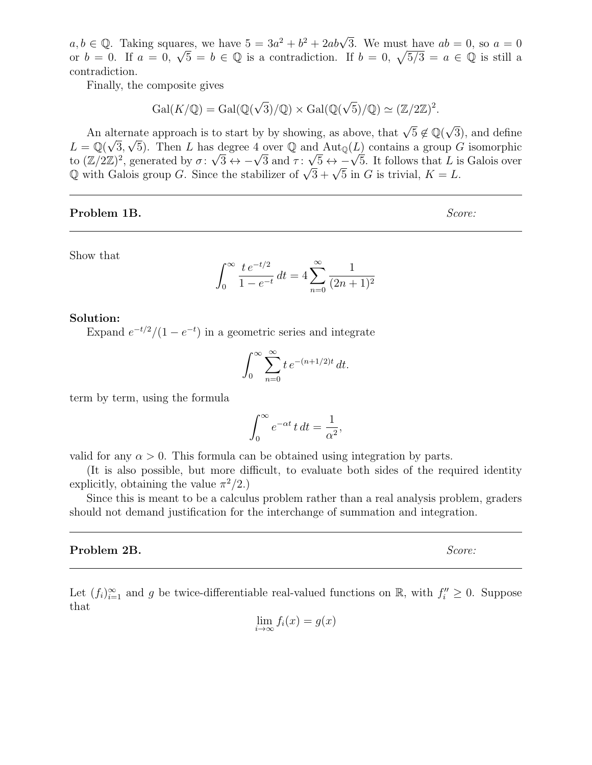$a, b \in \mathbb{Q}$ . Taking squares, we have  $5 = 3a^2 + b^2 + 2ab\sqrt{3}$ . We must have  $ab = 0$ , so  $a = 0$  $a, b \in \mathbb{Q}$ . Laking squares, we have  $b = 3a^2 + b^2 + 2ab\sqrt{3}$ . We must have  $ab = 0$ , so  $a = 0$ <br>or  $b = 0$ . If  $a = 0$ ,  $\sqrt{5} = b \in \mathbb{Q}$  is a contradiction. If  $b = 0$ ,  $\sqrt{5/3} = a \in \mathbb{Q}$  is still a contradiction.

Finally, the composite gives

$$
Gal(K/\mathbb{Q}) = Gal(\mathbb{Q}(\sqrt{3})/\mathbb{Q}) \times Gal(\mathbb{Q}(\sqrt{5})/\mathbb{Q}) \simeq (\mathbb{Z}/2\mathbb{Z})^2.
$$

An alternate approach is to start by by showing, as above, that  $\sqrt{5} \notin \mathbb{Q}(\sqrt{3})$ alternate approach is to start by by showing, as above, that  $\sqrt{5} \notin \mathbb{Q}(\sqrt{3})$ , and define  $L = \mathbb{Q}(\sqrt{3}, \sqrt{5})$ . Then L has degree 4 over  $\mathbb{Q}$  and  $\text{Aut}_{\mathbb{Q}}(L)$  contains a group G isomorphic  $L = \mathbb{Q}(\sqrt{3}, \sqrt{5})$ . Then L has degree 4 over  $\mathbb{Q}$  and  $\text{Aut}_{\mathbb{Q}}(L)$  contains a group G isomorphic to  $(\mathbb{Z}/2\mathbb{Z})^2$ , generated by  $\sigma: \sqrt{3} \leftrightarrow -\sqrt{3}$  and  $\tau: \sqrt{5} \leftrightarrow -\sqrt{5}$ . It follows that L is Galois over to  $(\mathbb{Z}/2\mathbb{Z})^2$ , generated by  $\sigma: \sqrt{s} \leftrightarrow -\sqrt{s}$  and  $\tau: \sqrt{s} \leftrightarrow -\sqrt{s}$ . It follows that L is  $\mathbb{Q}$  with Galois group G. Since the stabilizer of  $\sqrt{3} + \sqrt{5}$  in G is trivial,  $K = L$ .

# **Problem 1B.** Score:

Show that

$$
\int_0^\infty \frac{t e^{-t/2}}{1 - e^{-t}} dt = 4 \sum_{n=0}^\infty \frac{1}{(2n+1)^2}
$$

#### Solution:

Expand  $e^{-t/2}/(1-e^{-t})$  in a geometric series and integrate

$$
\int_0^\infty \sum_{n=0}^\infty t e^{-(n+1/2)t} dt.
$$

term by term, using the formula

$$
\int_0^\infty e^{-\alpha t} \, t \, dt = \frac{1}{\alpha^2},
$$

valid for any  $\alpha > 0$ . This formula can be obtained using integration by parts.

(It is also possible, but more difficult, to evaluate both sides of the required identity explicitly, obtaining the value  $\pi^2/2$ .)

Since this is meant to be a calculus problem rather than a real analysis problem, graders should not demand justification for the interchange of summation and integration.

#### **Problem 2B.** Score:

Let  $(f_i)_{i=1}^{\infty}$  and g be twice-differentiable real-valued functions on  $\mathbb{R}$ , with  $f_i'' \geq 0$ . Suppose that

$$
\lim_{i \to \infty} f_i(x) = g(x)
$$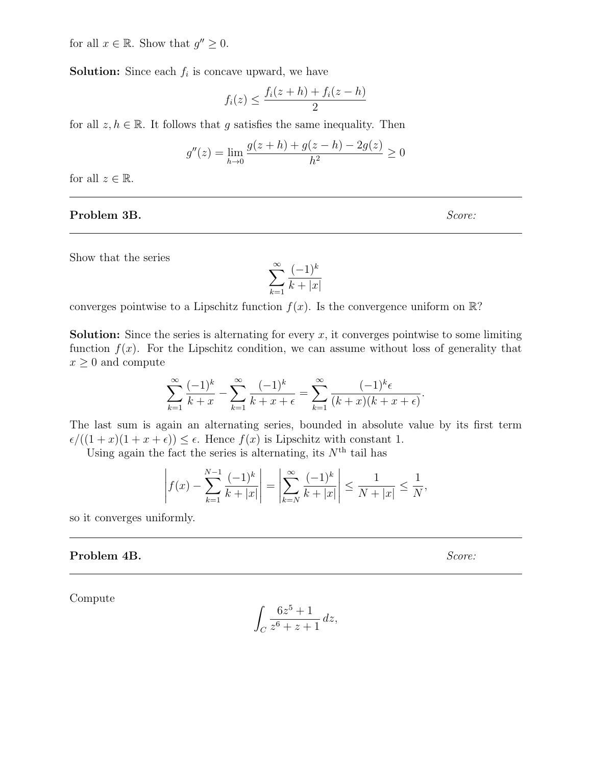for all  $x \in \mathbb{R}$ . Show that  $g'' \geq 0$ .

**Solution:** Since each  $f_i$  is concave upward, we have

$$
f_i(z) \le \frac{f_i(z+h) + f_i(z-h)}{2}
$$

for all  $z, h \in \mathbb{R}$ . It follows that q satisfies the same inequality. Then

$$
g''(z) = \lim_{h \to 0} \frac{g(z+h) + g(z-h) - 2g(z)}{h^2} \ge 0
$$

for all  $z \in \mathbb{R}$ .

# **Problem 3B.** Score:

Show that the series

$$
\sum_{k=1}^{\infty} \frac{(-1)^k}{k+|x|}
$$

converges pointwise to a Lipschitz function  $f(x)$ . Is the convergence uniform on  $\mathbb{R}$ ?

**Solution:** Since the series is alternating for every  $x$ , it converges pointwise to some limiting function  $f(x)$ . For the Lipschitz condition, we can assume without loss of generality that  $x \geq 0$  and compute

$$
\sum_{k=1}^{\infty} \frac{(-1)^k}{k+x} - \sum_{k=1}^{\infty} \frac{(-1)^k}{k+x+\epsilon} = \sum_{k=1}^{\infty} \frac{(-1)^k \epsilon}{(k+x)(k+x+\epsilon)}.
$$

The last sum is again an alternating series, bounded in absolute value by its first term  $\epsilon/((1+x)(1+x+\epsilon)) \leq \epsilon$ . Hence  $f(x)$  is Lipschitz with constant 1.

Using again the fact the series is alternating, its  $N<sup>th</sup>$  tail has

$$
\left| f(x) - \sum_{k=1}^{N-1} \frac{(-1)^k}{k+|x|} \right| = \left| \sum_{k=N}^{\infty} \frac{(-1)^k}{k+|x|} \right| \le \frac{1}{N+|x|} \le \frac{1}{N},
$$

so it converges uniformly.

## **Problem 4B.** Score:

Compute

$$
\int_C \frac{6z^5 + 1}{z^6 + z + 1} \, dz,
$$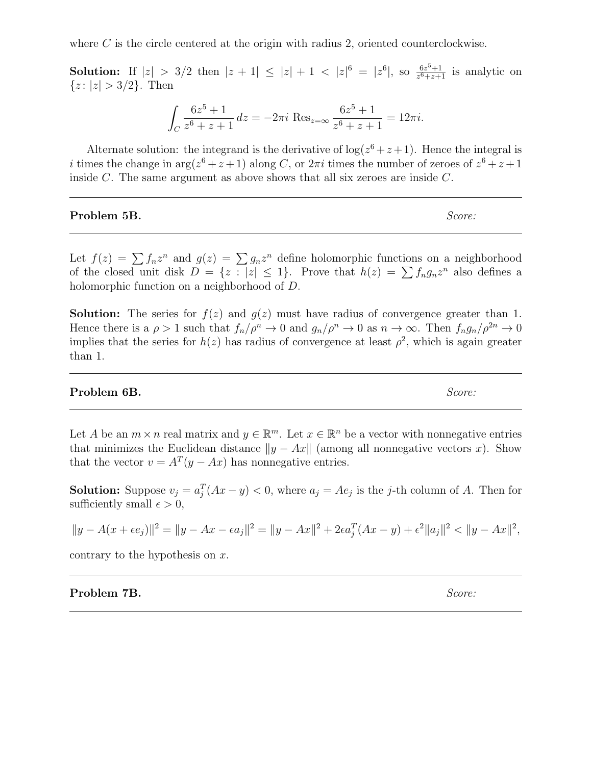where  $C$  is the circle centered at the origin with radius 2, oriented counterclockwise.

**Solution:** If  $|z| > 3/2$  then  $|z + 1| \leq |z| + 1 < |z|^6 = |z^6|$ , so  $\frac{6z^5+1}{z^6+z+1}$  $\frac{6z^3+1}{z^6+z+1}$  is analytic on  ${z: |z| > 3/2}.$  Then

$$
\int_C \frac{6z^5 + 1}{z^6 + z + 1} dz = -2\pi i \operatorname{Res}_{z=\infty} \frac{6z^5 + 1}{z^6 + z + 1} = 12\pi i.
$$

Alternate solution: the integrand is the derivative of  $log(z^6 + z + 1)$ . Hence the integral is i times the change in  $\arg(z^6 + z + 1)$  along C, or  $2\pi i$  times the number of zeroes of  $z^6 + z + 1$ inside C. The same argument as above shows that all six zeroes are inside C.

### **Problem 5B.** Score:

Let  $f(z) = \sum f_n z^n$  and  $g(z) = \sum g_n z^n$  define holomorphic functions on a neighborhood of the closed unit disk  $D = \{z : |z| \leq 1\}$ . Prove that  $h(z) = \sum f_n g_n z^n$  also defines a holomorphic function on a neighborhood of D.

**Solution:** The series for  $f(z)$  and  $g(z)$  must have radius of convergence greater than 1. Hence there is a  $\rho > 1$  such that  $f_n/\rho^n \to 0$  and  $g_n/\rho^n \to 0$  as  $n \to \infty$ . Then  $f_n g_n/\rho^{2n} \to 0$ implies that the series for  $h(z)$  has radius of convergence at least  $\rho^2$ , which is again greater than 1.

### **Problem 6B.** Score:

Let A be an  $m \times n$  real matrix and  $y \in \mathbb{R}^m$ . Let  $x \in \mathbb{R}^n$  be a vector with nonnegative entries that minimizes the Euclidean distance  $||y - Ax||$  (among all nonnegative vectors x). Show that the vector  $v = A^T(y - Ax)$  has nonnegative entries.

**Solution:** Suppose  $v_j = a_j^T(Ax - y) < 0$ , where  $a_j = Ae_j$  is the j-th column of A. Then for sufficiently small  $\epsilon > 0$ ,

$$
||y - A(x + \epsilon e_j)||^2 = ||y - Ax - \epsilon a_j||^2 = ||y - Ax||^2 + 2\epsilon a_j^T (Ax - y) + \epsilon^2 ||a_j||^2 < ||y - Ax||^2,
$$

contrary to the hypothesis on  $x$ .

**Problem 7B.** Score: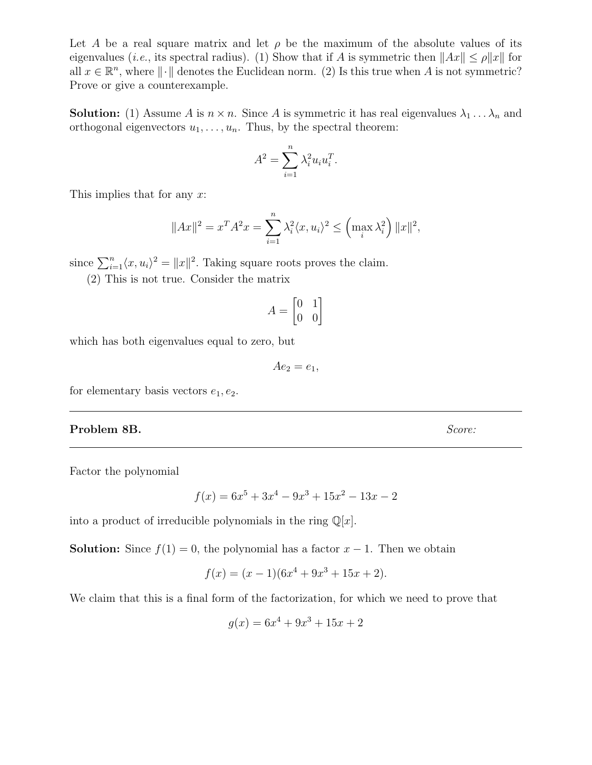Let A be a real square matrix and let  $\rho$  be the maximum of the absolute values of its eigenvalues (*i.e.*, its spectral radius). (1) Show that if A is symmetric then  $||Ax|| \le \rho ||x||$  for all  $x \in \mathbb{R}^n$ , where  $\|\cdot\|$  denotes the Euclidean norm. (2) Is this true when A is not symmetric? Prove or give a counterexample.

**Solution:** (1) Assume A is  $n \times n$ . Since A is symmetric it has real eigenvalues  $\lambda_1 \ldots \lambda_n$  and orthogonal eigenvectors  $u_1, \ldots, u_n$ . Thus, by the spectral theorem:

$$
A^2 = \sum_{i=1}^n \lambda_i^2 u_i u_i^T.
$$

This implies that for any x:

$$
||Ax||^{2} = x^{T} A^{2} x = \sum_{i=1}^{n} \lambda_{i}^{2} \langle x, u_{i} \rangle^{2} \leq \left( \max_{i} \lambda_{i}^{2} \right) ||x||^{2},
$$

since  $\sum_{i=1}^{n} \langle x, u_i \rangle^2 = ||x||^2$ . Taking square roots proves the claim.

(2) This is not true. Consider the matrix

$$
A = \begin{bmatrix} 0 & 1 \\ 0 & 0 \end{bmatrix}
$$

which has both eigenvalues equal to zero, but

$$
Ae_2 = e_1,
$$

for elementary basis vectors  $e_1, e_2$ .

## Problem 8B. Score:

Factor the polynomial

$$
f(x) = 6x^5 + 3x^4 - 9x^3 + 15x^2 - 13x - 2
$$

into a product of irreducible polynomials in the ring  $\mathbb{Q}[x]$ .

**Solution:** Since  $f(1) = 0$ , the polynomial has a factor  $x - 1$ . Then we obtain

$$
f(x) = (x - 1)(6x4 + 9x3 + 15x + 2).
$$

We claim that this is a final form of the factorization, for which we need to prove that

$$
g(x) = 6x^4 + 9x^3 + 15x + 2
$$